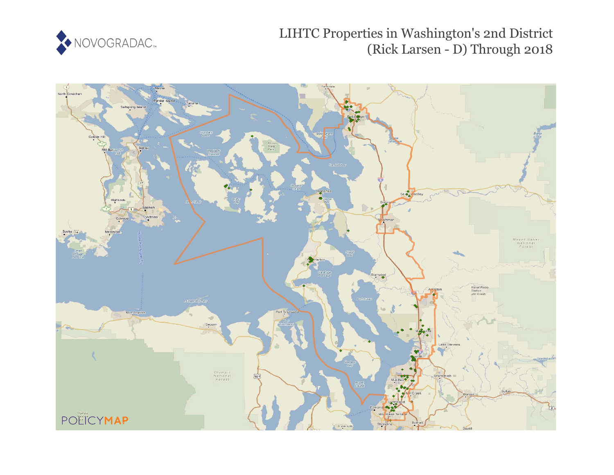

# LIHTC Properties in Washington's 2nd District (Rick Larsen - D) Through 2018

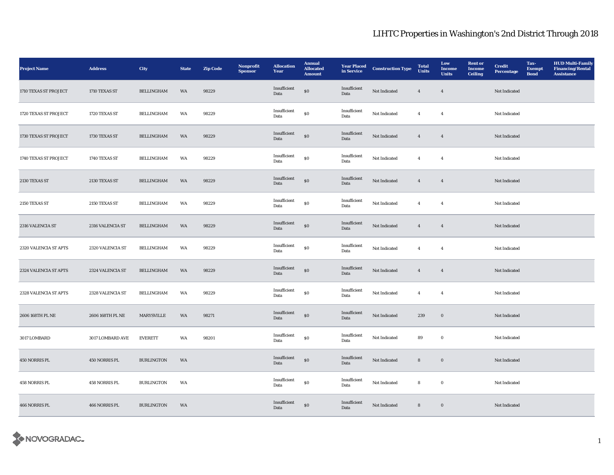| <b>Project Name</b>   | <b>Address</b>   | City              | <b>State</b> | <b>Zip Code</b> | Nonprofit<br><b>Sponsor</b> | <b>Allocation</b><br>Year | <b>Annual</b><br><b>Allocated</b><br><b>Amount</b> | <b>Year Placed</b><br>in Service | <b>Construction Type</b> | <b>Total</b><br><b>Units</b> | Low<br>Income<br><b>Units</b> | <b>Rent or</b><br>Income<br><b>Ceiling</b> | <b>Credit</b><br><b>Percentage</b> | Tax-<br><b>Exempt</b><br><b>Bond</b> | <b>HUD Multi-Family</b><br><b>Financing/Rental</b><br><b>Assistance</b> |
|-----------------------|------------------|-------------------|--------------|-----------------|-----------------------------|---------------------------|----------------------------------------------------|----------------------------------|--------------------------|------------------------------|-------------------------------|--------------------------------------------|------------------------------------|--------------------------------------|-------------------------------------------------------------------------|
| 1710 TEXAS ST PROJECT | 1710 TEXAS ST    | <b>BELLINGHAM</b> | WA           | 98229           |                             | Insufficient<br>Data      | $\$0$                                              | Insufficient<br>Data             | Not Indicated            | $\overline{4}$               | $\boldsymbol{4}$              |                                            | Not Indicated                      |                                      |                                                                         |
| 1720 TEXAS ST PROJECT | 1720 TEXAS ST    | <b>BELLINGHAM</b> | WA           | 98229           |                             | Insufficient<br>Data      | $\$0$                                              | Insufficient<br>Data             | Not Indicated            | $\overline{4}$               | $\overline{4}$                |                                            | Not Indicated                      |                                      |                                                                         |
| 1730 TEXAS ST PROJECT | 1730 TEXAS ST    | <b>BELLINGHAM</b> | WA           | 98229           |                             | Insufficient<br>Data      | $\$0$                                              | Insufficient<br>Data             | Not Indicated            | $\overline{4}$               | $\overline{4}$                |                                            | Not Indicated                      |                                      |                                                                         |
| 1740 TEXAS ST PROJECT | 1740 TEXAS ST    | <b>BELLINGHAM</b> | WA           | 98229           |                             | Insufficient<br>Data      | ${\bf S0}$                                         | Insufficient<br>Data             | Not Indicated            | $\overline{4}$               | $\overline{4}$                |                                            | Not Indicated                      |                                      |                                                                         |
| 2130 TEXAS ST         | 2130 TEXAS ST    | <b>BELLINGHAM</b> | WA           | 98229           |                             | Insufficient<br>Data      | $\$0$                                              | Insufficient<br>Data             | Not Indicated            | $\boldsymbol{4}$             | $\boldsymbol{4}$              |                                            | Not Indicated                      |                                      |                                                                         |
| 2150 TEXAS ST         | 2150 TEXAS ST    | BELLINGHAM        | WA           | 98229           |                             | Insufficient<br>Data      | ${\bf S0}$                                         | Insufficient<br>Data             | Not Indicated            | $\overline{4}$               | $\overline{4}$                |                                            | Not Indicated                      |                                      |                                                                         |
| 2316 VALENCIA ST      | 2316 VALENCIA ST | <b>BELLINGHAM</b> | WA           | 98229           |                             | Insufficient<br>Data      | $\$0$                                              | Insufficient<br>Data             | Not Indicated            | $\overline{4}$               | $\overline{4}$                |                                            | Not Indicated                      |                                      |                                                                         |
| 2320 VALENCIA ST APTS | 2320 VALENCIA ST | <b>BELLINGHAM</b> | WA           | 98229           |                             | Insufficient<br>Data      | ${\bf S0}$                                         | Insufficient<br>Data             | Not Indicated            | $\boldsymbol{4}$             | $\overline{4}$                |                                            | Not Indicated                      |                                      |                                                                         |
| 2324 VALENCIA ST APTS | 2324 VALENCIA ST | <b>BELLINGHAM</b> | WA           | 98229           |                             | Insufficient<br>Data      | $\$0$                                              | Insufficient<br>Data             | Not Indicated            | $\overline{4}$               | $\overline{4}$                |                                            | Not Indicated                      |                                      |                                                                         |
| 2328 VALENCIA ST APTS | 2328 VALENCIA ST | <b>BELLINGHAM</b> | WA           | 98229           |                             | Insufficient<br>Data      | ${\bf S0}$                                         | Insufficient<br>Data             | Not Indicated            | $\boldsymbol{4}$             | $\overline{4}$                |                                            | Not Indicated                      |                                      |                                                                         |
| 2606 168TH PL NE      | 2606 168TH PL NE | MARYSVILLE        | WA           | 98271           |                             | Insufficient<br>Data      | $\bf{S0}$                                          | Insufficient<br>Data             | Not Indicated            | 239                          | $\mathbf 0$                   |                                            | Not Indicated                      |                                      |                                                                         |
| 3017 LOMBARD          | 3017 LOMBARD AVE | <b>EVERETT</b>    | WA           | 98201           |                             | Insufficient<br>Data      | $\bf{S0}$                                          | Insufficient<br>Data             | Not Indicated            | 89                           | $\bf{0}$                      |                                            | Not Indicated                      |                                      |                                                                         |
| 450 NORRIS PL         | 450 NORRIS PL    | <b>BURLINGTON</b> | WA           |                 |                             | Insufficient<br>Data      | $\bf{S0}$                                          | Insufficient<br>Data             | Not Indicated            | ${\bf 8}$                    | $\mathbf 0$                   |                                            | Not Indicated                      |                                      |                                                                         |
| 458 NORRIS PL         | 458 NORRIS PL    | <b>BURLINGTON</b> | WA           |                 |                             | Insufficient<br>Data      | ${\bf S0}$                                         | Insufficient<br>Data             | Not Indicated            | ${\bf 8}$                    | $\mathbf 0$                   |                                            | Not Indicated                      |                                      |                                                                         |
| 466 NORRIS PL         | 466 NORRIS PL    | <b>BURLINGTON</b> | WA           |                 |                             | Insufficient<br>Data      | $\$0$                                              | Insufficient<br>Data             | Not Indicated            | $\bf8$                       | $\mathbf 0$                   |                                            | Not Indicated                      |                                      |                                                                         |

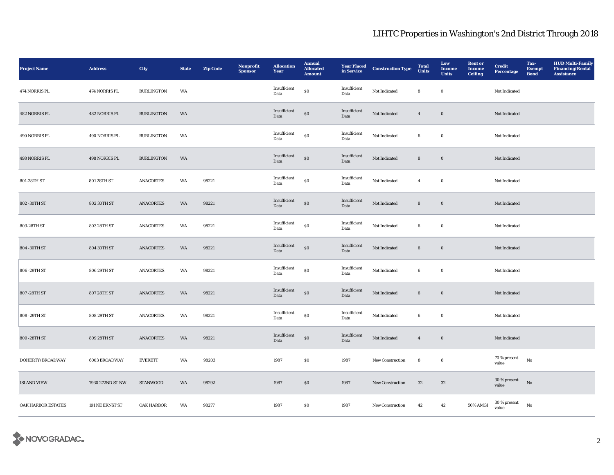| <b>Project Name</b> | <b>Address</b>   | City              | <b>State</b> | <b>Zip Code</b> | Nonprofit<br><b>Sponsor</b> | <b>Allocation</b><br>Year | <b>Annual</b><br><b>Allocated</b><br><b>Amount</b> | <b>Year Placed<br/>in Service</b> | <b>Construction Type</b> | <b>Total</b><br><b>Units</b> | Low<br>Income<br><b>Units</b> | <b>Rent or</b><br>Income<br><b>Ceiling</b> | <b>Credit</b><br>Percentage | Tax-<br><b>Exempt</b><br><b>Bond</b> | <b>HUD Multi-Family</b><br><b>Financing/Rental</b><br><b>Assistance</b> |
|---------------------|------------------|-------------------|--------------|-----------------|-----------------------------|---------------------------|----------------------------------------------------|-----------------------------------|--------------------------|------------------------------|-------------------------------|--------------------------------------------|-----------------------------|--------------------------------------|-------------------------------------------------------------------------|
| 474 NORRIS PL       | 474 NORRIS PL    | <b>BURLINGTON</b> | WA           |                 |                             | Insufficient<br>Data      | $\$0$                                              | Insufficient<br>Data              | Not Indicated            | 8                            | $\mathbf 0$                   |                                            | Not Indicated               |                                      |                                                                         |
| 482 NORRIS PL       | 482 NORRIS PL    | <b>BURLINGTON</b> | WA           |                 |                             | Insufficient<br>Data      | $\$0$                                              | Insufficient<br>Data              | Not Indicated            | $\overline{4}$               | $\mathbf 0$                   |                                            | Not Indicated               |                                      |                                                                         |
| 490 NORRIS PL       | 490 NORRIS PL    | <b>BURLINGTON</b> | WA           |                 |                             | Insufficient<br>Data      | ${\bf S0}$                                         | Insufficient<br>Data              | Not Indicated            | 6                            | $\bf{0}$                      |                                            | Not Indicated               |                                      |                                                                         |
| 498 NORRIS PL       | 498 NORRIS PL    | <b>BURLINGTON</b> | WA           |                 |                             | Insufficient<br>Data      | $\bf{S0}$                                          | Insufficient<br>Data              | Not Indicated            | $\bf8$                       | $\boldsymbol{0}$              |                                            | Not Indicated               |                                      |                                                                         |
| 801-28TH ST         | 801 28TH ST      | <b>ANACORTES</b>  | WA           | 98221           |                             | Insufficient<br>Data      | $\boldsymbol{\mathsf{S}}\boldsymbol{\mathsf{O}}$   | Insufficient<br>Data              | Not Indicated            | $\overline{4}$               | $\bf{0}$                      |                                            | Not Indicated               |                                      |                                                                         |
| 802 - 30TH ST       | 802 30TH ST      | <b>ANACORTES</b>  | WA           | 98221           |                             | Insufficient<br>Data      | $\$0$                                              | Insufficient<br>Data              | Not Indicated            | $\bf8$                       | $\boldsymbol{0}$              |                                            | Not Indicated               |                                      |                                                                         |
| 803-28TH ST         | 803 28TH ST      | <b>ANACORTES</b>  | WA           | 98221           |                             | Insufficient<br>Data      | $\$0$                                              | Insufficient<br>Data              | Not Indicated            | 6                            | $\bf{0}$                      |                                            | Not Indicated               |                                      |                                                                         |
| 804 - 30TH ST       | 804 30TH ST      | ANACORTES         | WA           | 98221           |                             | Insufficient<br>Data      | $\$0$                                              | Insufficient<br>Data              | Not Indicated            | $\bf 6$                      | $\mathbf 0$                   |                                            | Not Indicated               |                                      |                                                                         |
| 806 - 29TH ST       | 806 29TH ST      | <b>ANACORTES</b>  | WA           | 98221           |                             | Insufficient<br>Data      | ${\bf S0}$                                         | Insufficient<br>Data              | Not Indicated            | 6                            | $\bf{0}$                      |                                            | Not Indicated               |                                      |                                                                         |
| 807 - 28TH ST       | 807 28TH ST      | <b>ANACORTES</b>  | WA           | 98221           |                             | Insufficient<br>Data      | $\$0$                                              | Insufficient<br>Data              | Not Indicated            | $6\phantom{.0}$              | $\bf{0}$                      |                                            | Not Indicated               |                                      |                                                                         |
| 808 - 29TH ST       | 808 29TH ST      | <b>ANACORTES</b>  | WA           | 98221           |                             | Insufficient<br>Data      | $\boldsymbol{\mathsf{S}}\boldsymbol{\mathsf{O}}$   | Insufficient<br>Data              | Not Indicated            | 6                            | $\bf{0}$                      |                                            | Not Indicated               |                                      |                                                                         |
| 809 - 28TH ST       | 809 28TH ST      | <b>ANACORTES</b>  | WA           | 98221           |                             | Insufficient<br>Data      | $\bf{S0}$                                          | Insufficient<br>Data              | Not Indicated            | $\boldsymbol{4}$             | $\mathbf 0$                   |                                            | Not Indicated               |                                      |                                                                         |
| DOHERTY/BROADWAY    | 6003 BROADWAY    | <b>EVERETT</b>    | WA           | 98203           |                             | 1987                      | \$0                                                | 1987                              | New Construction         | 8                            | ${\bf 8}$                     |                                            | 70 % present<br>value       | No                                   |                                                                         |
| <b>ISLAND VIEW</b>  | 7930 272ND ST NW | <b>STANWOOD</b>   | WA           | 98292           |                             | 1987                      | \$0                                                | 1987                              | New Construction         | $32\,$                       | $32\,$                        |                                            | 30 % present<br>value       | $\rm No$                             |                                                                         |
| OAK HARBOR ESTATES  | 191 NE ERNST ST  | OAK HARBOR        | WA           | 98277           |                             | 1987                      | <b>SO</b>                                          | 1987                              | <b>New Construction</b>  | 42                           | 42                            | 50% AMGI                                   | $30$ % present<br>value     | No                                   |                                                                         |

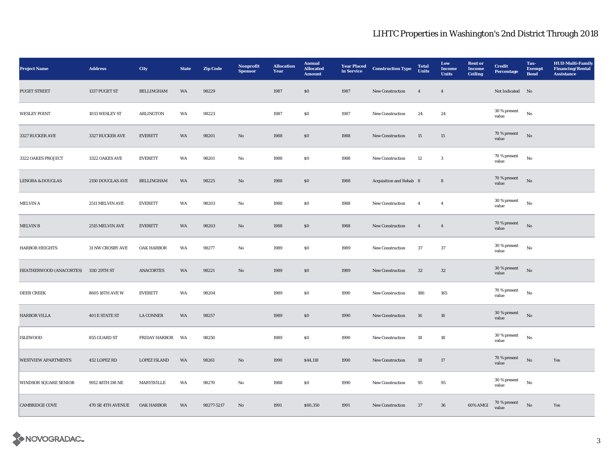| <b>Project Name</b>            | <b>Address</b>        | City                | <b>State</b> | <b>Zip Code</b> | Nonprofit<br><b>Sponsor</b> | <b>Allocation</b><br>Year | <b>Annual</b><br><b>Allocated</b><br><b>Amount</b> | <b>Year Placed</b><br>in Service | <b>Construction Type</b> | <b>Total</b><br><b>Units</b> | Low<br>Income<br><b>Units</b> | <b>Rent or</b><br>Income<br><b>Ceiling</b> | <b>Credit</b><br><b>Percentage</b> | Tax-<br><b>Exempt</b><br><b>Bond</b> | <b>HUD Multi-Family</b><br><b>Financing/Rental</b><br><b>Assistance</b> |
|--------------------------------|-----------------------|---------------------|--------------|-----------------|-----------------------------|---------------------------|----------------------------------------------------|----------------------------------|--------------------------|------------------------------|-------------------------------|--------------------------------------------|------------------------------------|--------------------------------------|-------------------------------------------------------------------------|
| PUGET STREET                   | 1337 PUGET ST         | <b>BELLINGHAM</b>   | WA           | 98229           |                             | 1987                      | $\boldsymbol{\mathsf{S}}\boldsymbol{\mathsf{O}}$   | 1987                             | New Construction         | $\overline{4}$               | $\overline{4}$                |                                            | Not Indicated No                   |                                      |                                                                         |
| <b>WESLEY POINT</b>            | 1033 WESLEY ST        | ARLINGTON           | WA           | 98223           |                             | 1987                      | $\boldsymbol{\mathsf{S}}\boldsymbol{\mathsf{0}}$   | 1987                             | <b>New Construction</b>  | 24                           | 24                            |                                            | 30 % present<br>value              | No                                   |                                                                         |
| 3327 RUCKER AVE                | 3327 RUCKER AVE       | <b>EVERETT</b>      | WA           | 98201           | No                          | 1988                      | ${\bf S0}$                                         | 1988                             | New Construction         | 15                           | 15                            |                                            | $70\,\%$ present<br>value          | $_{\rm No}$                          |                                                                         |
| 3322 OAKES PROJECT             | 3322 OAKES AVE        | <b>EVERETT</b>      | WA           | 98201           | No                          | 1988                      | $\$0$                                              | 1988                             | <b>New Construction</b>  | 12                           | $\mathbf{3}$                  |                                            | 70 % present<br>value              | $_{\rm No}$                          |                                                                         |
| <b>LENORA &amp; DOUGLAS</b>    | 2150 DOUGLAS AVE      | <b>BELLINGHAM</b>   | WA           | 98225           | $\mathbf{N}\mathbf{o}$      | 1988                      | $\$0$                                              | 1988                             | Acquisition and Rehab 8  |                              | ${\bf 8}$                     |                                            | 70 % present<br>value              | $_{\rm No}$                          |                                                                         |
| MELVIN A                       | 2511 MELVIN AVE       | <b>EVERETT</b>      | WA           | 98203           | No                          | 1988                      | $\boldsymbol{\mathsf{S}}\boldsymbol{\mathsf{0}}$   | 1988                             | <b>New Construction</b>  | $\overline{4}$               | $\overline{4}$                |                                            | 30 % present<br>value              | $_{\rm No}$                          |                                                                         |
| <b>MELVIN B</b>                | 2515 MELVIN AVE       | <b>EVERETT</b>      | WA           | 98203           | $\mathbf{No}$               | 1988                      | $\boldsymbol{\mathsf{S}}\boldsymbol{\mathsf{0}}$   | 1988                             | New Construction         | $\overline{4}$               | $\overline{4}$                |                                            | $70\,\%$ present<br>value          | No                                   |                                                                         |
| <b>HARBOR HEIGHTS</b>          | 31 NW CROSBY AVE      | OAK HARBOR          | WA           | 98277           | $\rm No$                    | 1989                      | $\$0$                                              | 1989                             | New Construction         | 37                           | $37\,$                        |                                            | 30 % present<br>value              | $_{\rm No}$                          |                                                                         |
| <b>HEATHERWOOD (ANACORTES)</b> | 1110 29TH ST          | <b>ANACORTES</b>    | WA           | 98221           | $\mathbf{N}\mathbf{o}$      | 1989                      | \$0\$                                              | 1989                             | New Construction         | 32                           | $32\,$                        |                                            | 30 % present<br>value              | $_{\rm No}$                          |                                                                         |
| <b>DEER CREEK</b>              | 8605 18TH AVE W       | <b>EVERETT</b>      | WA           | 98204           |                             | 1989                      | \$0\$                                              | 1990                             | <b>New Construction</b>  | 186                          | 165                           |                                            | 70 % present<br>value              | No                                   |                                                                         |
| <b>HARBOR VILLA</b>            | <b>401 E STATE ST</b> | LA CONNER           | WA           | 98257           |                             | 1989                      | \$0\$                                              | 1990                             | <b>New Construction</b>  | 16                           | ${\bf 16}$                    |                                            | 30 % present<br>value              | $_{\rm No}$                          |                                                                         |
| <b>ISLEWOOD</b>                | 855 GUARD ST          | FRIDAY HARBOR       | WA           | 98250           |                             | 1989                      | $\$0$                                              | 1990                             | New Construction         | ${\bf 18}$                   | ${\bf 18}$                    |                                            | 30 % present<br>value              | $_{\rm No}$                          |                                                                         |
| <b>WESTVIEW APARTMENTS</b>     | 452 LOPEZ RD          | <b>LOPEZ ISLAND</b> | WA           | 98261           | $\mathbf{N}\mathbf{o}$      | 1990                      | \$44,118                                           | 1990                             | New Construction         | 18                           | 17                            |                                            | 70 % present<br>value              | No                                   | Yes                                                                     |
| WINDSOR SQUARE SENIOR          | 9912 48TH DR NE       | MARYSVILLE          | WA           | 98270           | No                          | 1988                      | SO.                                                | 1990                             | <b>New Construction</b>  | 95                           | 95                            |                                            | 30 % present<br>value              | No                                   |                                                                         |
| <b>CAMBRIDGE COVE</b>          | 470 SE 4TH AVENUE     | <b>OAK HARBOR</b>   | WA           | 98277-5217      | No                          | 1991                      | \$60,350                                           | 1991                             | <b>New Construction</b>  | 37                           | 36                            | 60% AMGI                                   | $70$ % present value               | No                                   | Yes                                                                     |

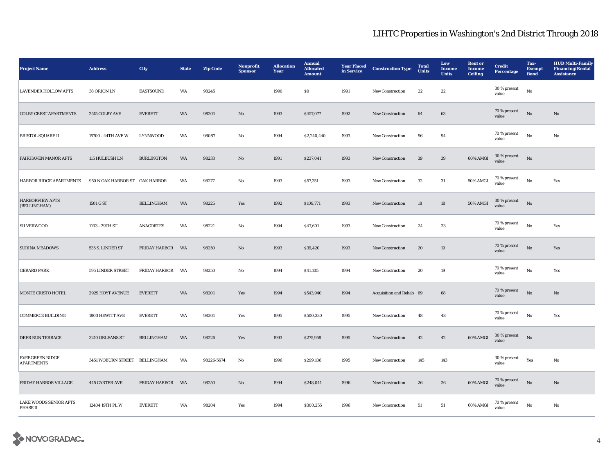| <b>Project Name</b>                         | <b>Address</b>                 | City                 | <b>State</b> | <b>Zip Code</b> | Nonprofit<br><b>Sponsor</b> | <b>Allocation</b><br>Year | <b>Annual</b><br><b>Allocated</b><br><b>Amount</b> | <b>Year Placed</b><br>in Service | <b>Construction Type</b> | <b>Total</b><br><b>Units</b> | Low<br>Income<br><b>Units</b> | <b>Rent</b> or<br><b>Income</b><br>Ceiling | <b>Credit</b><br>Percentage | Tax-<br><b>Exempt</b><br><b>Bond</b> | <b>HUD Multi-Family</b><br><b>Financing/Rental</b><br><b>Assistance</b> |
|---------------------------------------------|--------------------------------|----------------------|--------------|-----------------|-----------------------------|---------------------------|----------------------------------------------------|----------------------------------|--------------------------|------------------------------|-------------------------------|--------------------------------------------|-----------------------------|--------------------------------------|-------------------------------------------------------------------------|
| <b>LAVENDER HOLLOW APTS</b>                 | 38 ORION LN                    | <b>EASTSOUND</b>     | WA           | 98245           |                             | 1990                      | <b>SO</b>                                          | 1991                             | New Construction         | 22                           | $\bf{22}$                     |                                            | 30 % present<br>value       | $_{\rm No}$                          |                                                                         |
| <b>COLBY CREST APARTMENTS</b>               | 2515 COLBY AVE                 | <b>EVERETT</b>       | WA           | 98201           | $\mathbf{N}\mathbf{o}$      | 1993                      | \$457,077                                          | 1992                             | New Construction         | 64                           | 63                            |                                            | 70 % present<br>value       | No                                   | No                                                                      |
| <b>BRISTOL SQUARE II</b>                    | 15700 - 44TH AVE W             | LYNNWOOD             | WA           | 98087           | No                          | 1994                      | \$2,240,440                                        | 1993                             | New Construction         | 96                           | 94                            |                                            | 70 % present<br>value       | $_{\rm No}$                          | No                                                                      |
| <b>FAIRHAVEN MANOR APTS</b>                 | 115 HULBUSH LN                 | <b>BURLINGTON</b>    | WA           | 98233           | $\mathbf{No}$               | 1991                      | \$237,041                                          | 1993                             | New Construction         | 39                           | $39\,$                        | 60% AMGI                                   | $30\,\%$ present<br>value   | $_{\rm No}$                          |                                                                         |
| HARBOR RIDGE APARTMENTS                     | 950 N OAK HARBOR ST OAK HARBOR |                      | WA           | 98277           | No                          | 1993                      | \$57,251                                           | 1993                             | New Construction         | 32                           | 31                            | 50% AMGI                                   | 70 % present<br>value       | No                                   | Yes                                                                     |
| <b>HARBORVIEW APTS</b><br>(BELLINGHAM)      | 1501 G ST                      | <b>BELLINGHAM</b>    | WA           | 98225           | Yes                         | 1992                      | \$109,771                                          | 1993                             | New Construction         | $18\,$                       | 18                            | <b>50% AMGI</b>                            | $30\,\%$ present<br>value   | No                                   |                                                                         |
| <b>SILVERWOOD</b>                           | 1103 - 29TH ST                 | <b>ANACORTES</b>     | WA           | 98221           | No                          | 1994                      | \$47,601                                           | 1993                             | New Construction         | 24                           | 23                            |                                            | 70 % present<br>value       | $_{\rm No}$                          | Yes                                                                     |
| <b>SURINA MEADOWS</b>                       | 535 S. LINDER ST               | FRIDAY HARBOR WA     |              | 98250           | $\mathbf{N}\mathbf{o}$      | 1993                      | \$39,420                                           | 1993                             | <b>New Construction</b>  | 20                           | 19                            |                                            | 70 % present<br>value       | $_{\rm No}$                          | Yes                                                                     |
| <b>GERARD PARK</b>                          | 595 LINDER STREET              | <b>FRIDAY HARBOR</b> | WA           | 98250           | No                          | 1994                      | \$41,105                                           | 1994                             | New Construction         | 20                           | 19                            |                                            | 70 % present<br>value       | $_{\rm No}$                          | Yes                                                                     |
| MONTE CRISTO HOTEL                          | 2929 HOYT AVENUE               | <b>EVERETT</b>       | WA           | 98201           | Yes                         | 1994                      | \$543,940                                          | 1994                             | Acquisition and Rehab 69 |                              | 68                            |                                            | 70 % present<br>value       | No                                   | No                                                                      |
| COMMERCE BUILDING                           | 1803 HEWITT AVE                | <b>EVERETT</b>       | WA           | 98201           | Yes                         | 1995                      | \$500,330                                          | 1995                             | New Construction         | 48                           | 48                            |                                            | 70 % present<br>value       | $_{\rm No}$                          | Yes                                                                     |
| <b>DEER RUN TERRACE</b>                     | 3210 ORLEANS ST                | <b>BELLINGHAM</b>    | WA           | 98226           | Yes                         | 1993                      | \$275,958                                          | 1995                             | <b>New Construction</b>  | 42                           | 42                            | 60% AMGI                                   | $30$ % present<br>value     | No                                   |                                                                         |
| <b>EVERGREEN RIDGE</b><br><b>APARTMENTS</b> | 3451 WOBURN STREET BELLINGHAM  |                      | WA           | 98226-5674      | No                          | 1996                      | \$299,108                                          | 1995                             | New Construction         | 145                          | 143                           |                                            | 30 % present<br>value       | Yes                                  | No                                                                      |
| FRIDAY HARBOR VILLAGE                       | 445 CARTER AVE                 | <b>FRIDAY HARBOR</b> | WA           | 98250           | $\mathbf{N}\mathbf{o}$      | 1994                      | \$248,041                                          | 1996                             | <b>New Construction</b>  | 26                           | 26                            | 60% AMGI                                   | 70 % present<br>value       | No                                   | $\mathbf{No}$                                                           |
| LAKE WOODS SENIOR APTS<br>PHASE II          | 12404 19TH PL W                | <b>EVERETT</b>       | WA           | 98204           | Yes                         | 1994                      | \$300,255                                          | 1996                             | <b>New Construction</b>  | 51                           | 51                            | 60% AMGI                                   | $70\,\%$ present<br>value   | No                                   | No                                                                      |

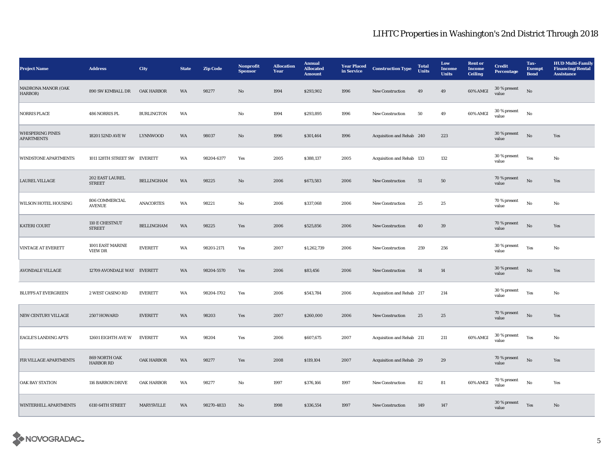| <b>Project Name</b>                          | <b>Address</b>                     | <b>City</b>       | <b>State</b> | <b>Zip Code</b> | <b>Nonprofit</b><br><b>Sponsor</b> | <b>Allocation</b><br>Year | <b>Annual</b><br><b>Allocated</b><br><b>Amount</b> | <b>Year Placed</b><br>in Service | <b>Construction Type</b>  | <b>Total</b><br><b>Units</b> | Low<br><b>Income</b><br><b>Units</b> | <b>Rent</b> or<br><b>Income</b><br>Ceiling | <b>Credit</b><br><b>Percentage</b> | Tax-<br><b>Exempt</b><br><b>Bond</b> | <b>HUD Multi-Family</b><br><b>Financing/Rental</b><br><b>Assistance</b> |
|----------------------------------------------|------------------------------------|-------------------|--------------|-----------------|------------------------------------|---------------------------|----------------------------------------------------|----------------------------------|---------------------------|------------------------------|--------------------------------------|--------------------------------------------|------------------------------------|--------------------------------------|-------------------------------------------------------------------------|
| <b>MADRONA MANOR (OAK</b><br>HARBOR)         | 890 SW KIMBALL DR                  | OAK HARBOR        | <b>WA</b>    | 98277           | No                                 | 1994                      | \$293,902                                          | 1996                             | New Construction          | 49                           | 49                                   | 60% AMGI                                   | 30 % present<br>value              | No                                   |                                                                         |
| <b>NORRIS PLACE</b>                          | 486 NORRIS PL                      | <b>BURLINGTON</b> | WA           |                 | No                                 | 1994                      | \$293,895                                          | 1996                             | New Construction          | 50                           | 49                                   | 60% AMGI                                   | 30 % present<br>value              | No                                   |                                                                         |
| <b>WHISPERING PINES</b><br><b>APARTMENTS</b> | 18201 52ND AVE W                   | LYNNWOOD          | WA           | 98037           | $\mathbf{N}\mathbf{o}$             | 1996                      | \$301,464                                          | 1996                             | Acquisition and Rehab 240 |                              | 223                                  |                                            | 30 % present<br>value              | $_{\rm No}$                          | Yes                                                                     |
| <b>WINDSTONE APARTMENTS</b>                  | 1011 128TH STREET SW EVERETT       |                   | WA           | 98204-6377      | Yes                                | 2005                      | \$388,137                                          | 2005                             | Acquisition and Rehab 133 |                              | 132                                  |                                            | 30 % present<br>value              | Yes                                  | No                                                                      |
| <b>LAUREL VILLAGE</b>                        | 202 EAST LAUREL<br><b>STREET</b>   | <b>BELLINGHAM</b> | WA           | 98225           | $\mathbf{N}\mathbf{o}$             | 2006                      | \$673,583                                          | 2006                             | New Construction          | 51                           | ${\bf 50}$                           |                                            | 70 % present<br>value              | $\rm \bf No$                         | Yes                                                                     |
| WILSON HOTEL HOUSING                         | 806 COMMERCIAL<br><b>AVENUE</b>    | <b>ANACORTES</b>  | WA           | 98221           | No                                 | 2006                      | \$337,068                                          | 2006                             | New Construction          | 25                           | 25                                   |                                            | 70 % present<br>value              | No                                   | No                                                                      |
| <b>KATERI COURT</b>                          | 110 E CHESTNUT<br><b>STREET</b>    | <b>BELLINGHAM</b> | WA           | 98225           | Yes                                | 2006                      | \$525,856                                          | 2006                             | New Construction          | 40                           | 39                                   |                                            | 70 % present<br>value              | $\rm \bf No$                         | Yes                                                                     |
| <b>VINTAGE AT EVERETT</b>                    | 1001 EAST MARINE<br><b>VIEW DR</b> | <b>EVERETT</b>    | WA           | 98201-2171      | Yes                                | 2007                      | \$1,262,739                                        | 2006                             | New Construction          | 259                          | 256                                  |                                            | $30$ % present<br>value            | Yes                                  | No                                                                      |
| <b>AVONDALE VILLAGE</b>                      | 12709 AVONDALE WAY EVERETT         |                   | WA           | 98204-5570      | Yes                                | 2006                      | \$83,456                                           | 2006                             | New Construction          | $14\,$                       | 14                                   |                                            | 30 % present<br>value              | $_{\rm No}$                          | Yes                                                                     |
| <b>BLUFFS AT EVERGREEN</b>                   | 2 WEST CASINO RD                   | <b>EVERETT</b>    | WA           | 98204-1702      | Yes                                | 2006                      | \$543,784                                          | 2006                             | Acquisition and Rehab 217 |                              | 214                                  |                                            | 30 % present<br>value              | Yes                                  | No                                                                      |
| NEW CENTURY VILLAGE                          | 2507 HOWARD                        | <b>EVERETT</b>    | WA           | 98203           | Yes                                | 2007                      | \$260,000                                          | 2006                             | New Construction          | 25                           | 25                                   |                                            | 70 % present<br>value              | $\rm \bf No$                         | Yes                                                                     |
| <b>EAGLE'S LANDING APTS</b>                  | 12601 EIGHTH AVE W                 | <b>EVERETT</b>    | WA           | 98204           | Yes                                | 2006                      | \$607,675                                          | 2007                             | Acquisition and Rehab 211 |                              | 211                                  | 60% AMGI                                   | 30 % present<br>value              | Yes                                  | $\mathbf {No}$                                                          |
| FIR VILLAGE APARTMENTS                       | 869 NORTH OAK<br><b>HARBOR RD</b>  | OAK HARBOR        | WA           | 98277           | Yes                                | 2008                      | \$119,104                                          | 2007                             | Acquisition and Rehab 29  |                              | 29                                   |                                            | 70 % present<br>value              | $_{\rm No}$                          | Yes                                                                     |
| <b>OAK BAY STATION</b>                       | 116 BARRON DRIVE                   | <b>OAK HARBOR</b> | WA           | 98277           | No                                 | 1997                      | \$376,166                                          | 1997                             | New Construction          | 82                           | 81                                   | 60% AMGI                                   | 70 % present<br>value              | No                                   | Yes                                                                     |
| <b>WINTERHILL APARTMENTS</b>                 | 6110 64TH STREET                   | <b>MARYSVILLE</b> | WA           | 98270-4833      | $\mathbf{N}\mathbf{o}$             | 1998                      | \$336,554                                          | 1997                             | <b>New Construction</b>   | 149                          | 147                                  |                                            | 30 % present<br>value              | Yes                                  | $\mathbf{N}\mathbf{o}$                                                  |

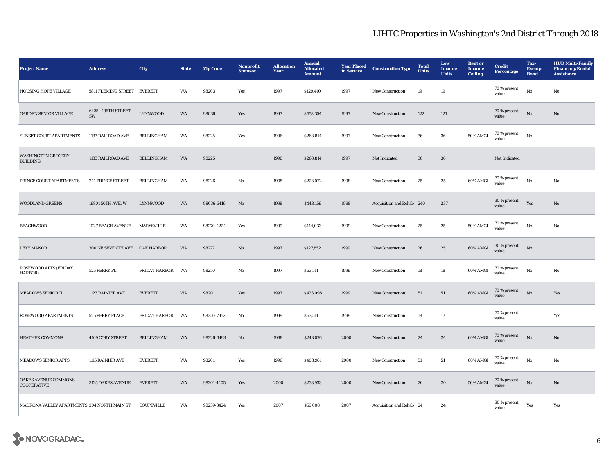| <b>Project Name</b>                          | <b>Address</b>                | <b>City</b>          | <b>State</b> | <b>Zip Code</b> | Nonprofit<br><b>Sponsor</b> | <b>Allocation</b><br>Year | <b>Annual</b><br><b>Allocated</b><br><b>Amount</b> | <b>Year Placed</b><br>in Service | <b>Construction Type</b>  | <b>Total</b><br><b>Units</b> | Low<br><b>Income</b><br><b>Units</b> | <b>Rent</b> or<br><b>Income</b><br><b>Ceiling</b> | <b>Credit</b><br><b>Percentage</b> | Tax-<br><b>Exempt</b><br><b>Bond</b> | <b>HUD Multi-Family</b><br><b>Financing/Rental</b><br><b>Assistance</b> |
|----------------------------------------------|-------------------------------|----------------------|--------------|-----------------|-----------------------------|---------------------------|----------------------------------------------------|----------------------------------|---------------------------|------------------------------|--------------------------------------|---------------------------------------------------|------------------------------------|--------------------------------------|-------------------------------------------------------------------------|
| HOUSING HOPE VILLAGE                         | 5811 FLEMING STREET EVERETT   |                      | WA           | 98203           | Yes                         | 1997                      | \$129,410                                          | 1997                             | <b>New Construction</b>   | 19                           | 19                                   |                                                   | 70 % present<br>value              | $\mathbf{No}$                        | $_{\rm No}$                                                             |
| <b>GARDEN SENIOR VILLAGE</b>                 | 6425 - 196TH STREET<br>SW     | <b>LYNNWOOD</b>      | WA           | 98036           | Yes                         | 1997                      | \$658,354                                          | 1997                             | <b>New Construction</b>   | 122                          | 121                                  |                                                   | 70 % present<br>value              | $\rm No$                             | No                                                                      |
| SUNSET COURT APARTMENTS                      | 1133 RAILROAD AVE             | BELLINGHAM           | WA           | 98225           | Yes                         | 1996                      | \$268,814                                          | 1997                             | <b>New Construction</b>   | 36                           | 36                                   | 50% AMGI                                          | $70\,\%$ present<br>value          | $_{\rm No}$                          |                                                                         |
| <b>WASHINGTON GROCERY</b><br><b>BUILDING</b> | 1133 RAILROAD AVE             | <b>BELLINGHAM</b>    | WA           | 98225           |                             | 1998                      | \$268,814                                          | 1997                             | Not Indicated             | 36                           | 36                                   |                                                   | Not Indicated                      |                                      |                                                                         |
| PRINCE COURT APARTMENTS                      | 214 PRINCE STREET             | BELLINGHAM           | WA           | 98226           | No                          | 1998                      | \$223,072                                          | 1998                             | New Construction          | $25\,$                       | $\bf 25$                             | 60% AMGI                                          | 70 % present<br>value              | $\rm\thinspace No$                   | $_{\rm No}$                                                             |
| <b>WOODLAND GREENS</b>                       | 19801 50TH AVE. W             | <b>LYNNWOOD</b>      | WA           | 98036-6416      | $\rm No$                    | 1998                      | \$448,159                                          | 1998                             | Acquisition and Rehab 240 |                              | 237                                  |                                                   | 30 % present<br>value              | Yes                                  | $\mathbf{No}$                                                           |
| <b>BEACHWOOD</b>                             | 1027 BEACH AVENUE             | MARYSVILLE           | WA           | 98270-4224      | Yes                         | 1999                      | \$144,033                                          | 1999                             | New Construction          | 25                           | 25                                   | 50% AMGI                                          | 70 % present<br>value              | No                                   | No                                                                      |
| <b>LEXY MANOR</b>                            | 300 NE SEVENTH AVE OAK HARBOR |                      | WA           | 98277           | No                          | 1997                      | \$127,852                                          | 1999                             | New Construction          | 26                           | 25                                   | 60% AMGI                                          | 30 % present<br>value              | No                                   |                                                                         |
| ROSEWOOD APTS (FRIDAY<br>HARBOR)             | 525 PERRY PL                  | <b>FRIDAY HARBOR</b> | WA           | 98250           | No                          | 1997                      | \$63,511                                           | 1999                             | New Construction          | 18                           | 18                                   | 60% AMGI                                          | 70 % present<br>value              | $\rm No$                             | No                                                                      |
| <b>MEADOWS SENIOR II</b>                     | 1123 RAINIER AVE              | <b>EVERETT</b>       | WA           | 98201           | Yes                         | 1997                      | \$423,098                                          | 1999                             | New Construction          | 51                           | 51                                   | 60% AMGI                                          | 70 % present<br>value              | $\rm No$                             | Yes                                                                     |
| <b>ROSEWOOD APARTMENTS</b>                   | 525 PERRY PLACE               | <b>FRIDAY HARBOR</b> | WA           | 98250-7952      | No                          | 1999                      | \$63,511                                           | 1999                             | <b>New Construction</b>   | 18                           | $17\,$                               |                                                   | 70 % present<br>value              |                                      | Yes                                                                     |
| <b>HEATHER COMMONS</b>                       | 4169 CORY STREET              | <b>BELLINGHAM</b>    | WA           | 98226-6493      | No                          | 1998                      | \$243,076                                          | 2000                             | New Construction          | 24                           | 24                                   | 60% AMGI                                          | 70 % present<br>value              | No                                   | No                                                                      |
| <b>MEADOWS SENIOR APTS</b>                   | 1115 RAINIER AVE              | <b>EVERETT</b>       | WA           | 98201           | Yes                         | 1996                      | \$403,961                                          | 2000                             | <b>New Construction</b>   | 51                           | 51                                   | 60% AMGI                                          | 70 % present<br>value              | No                                   | No                                                                      |
| OAKES AVENUE COMMONS<br><b>COOPERATIVE</b>   | 3125 OAKES AVENUE             | <b>EVERETT</b>       | WA           | 98201-4405      | Yes                         | 2000                      | \$233,933                                          | 2000                             | <b>New Construction</b>   | 20                           | 20                                   | <b>50% AMGI</b>                                   | 70 % present<br>value              | $\rm No$                             | No                                                                      |
| MADRONA VALLEY APARTMENTS 204 NORTH MAIN ST. |                               | COUPEVILLE           | WA           | 98239-3424      | Yes                         | 2007                      | \$56,008                                           | 2007                             | Acquisition and Rehab 24  |                              | 24                                   |                                                   | $30\,\%$ present<br>value          | Yes                                  | Yes                                                                     |

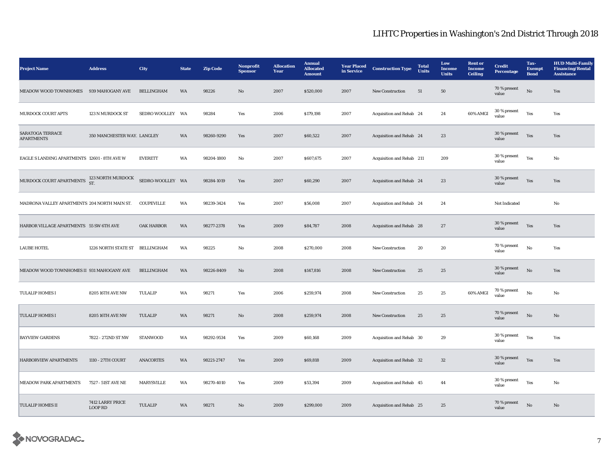| <b>Project Name</b>                                         | <b>Address</b>                     | City              | <b>State</b> | <b>Zip Code</b> | Nonprofit<br><b>Sponsor</b> | <b>Allocation</b><br>Year | <b>Annual</b><br><b>Allocated</b><br><b>Amount</b> | <b>Year Placed</b><br>in Service | <b>Construction Type</b>  | <b>Total</b><br><b>Units</b> | Low<br>Income<br><b>Units</b> | <b>Rent</b> or<br><b>Income</b><br><b>Ceiling</b> | <b>Credit</b><br>Percentage | Tax-<br><b>Exempt</b><br><b>Bond</b> | <b>HUD Multi-Family</b><br><b>Financing/Rental</b><br><b>Assistance</b> |
|-------------------------------------------------------------|------------------------------------|-------------------|--------------|-----------------|-----------------------------|---------------------------|----------------------------------------------------|----------------------------------|---------------------------|------------------------------|-------------------------------|---------------------------------------------------|-----------------------------|--------------------------------------|-------------------------------------------------------------------------|
| MEADOW WOOD TOWNHOMES                                       | 939 MAHOGANY AVE                   | <b>BELLINGHAM</b> | WA           | 98226           | $\rm No$                    | 2007                      | \$520,000                                          | 2007                             | New Construction          | $51\,$                       | 50                            |                                                   | 70 % present<br>value       | $\rm No$                             | Yes                                                                     |
| MURDOCK COURT APTS                                          | 123 N MURDOCK ST                   | SEDRO WOOLLEY WA  |              | 98284           | Yes                         | 2006                      | \$179,198                                          | 2007                             | Acquisition and Rehab 24  |                              | 24                            | 60% AMGI                                          | 30 % present<br>value       | Yes                                  | Yes                                                                     |
| <b>SARATOGA TERRACE</b><br><b>APARTMENTS</b>                | 350 MANCHESTER WAY. LANGLEY        |                   | WA           | 98260-9290      | Yes                         | 2007                      | \$60,522                                           | 2007                             | Acquisition and Rehab 24  |                              | 23                            |                                                   | 30 % present<br>value       | Yes                                  | Yes                                                                     |
| EAGLE S LANDING APARTMENTS 12601 - 8TH AVE W                |                                    | <b>EVERETT</b>    | WA           | 98204-1800      | No                          | 2007                      | \$607,675                                          | 2007                             | Acquisition and Rehab 211 |                              | 209                           |                                                   | 30 % present<br>value       | Yes                                  | No                                                                      |
| MURDOCK COURT APARTMENTS $^{123}_{\text{ST}}$ NORTH MURDOCK |                                    | SEDRO-WOOLLEY WA  |              | 98284-1019      | Yes                         | 2007                      | \$60,290                                           | 2007                             | Acquisition and Rehab 24  |                              | 23                            |                                                   | 30 % present<br>value       | Yes                                  | Yes                                                                     |
| MADRONA VALLEY APARTMENTS 204 NORTH MAIN ST.                |                                    | COUPEVILLE        | WA           | 98239-3424      | Yes                         | 2007                      | \$56,008                                           | 2007                             | Acquisition and Rehab 24  |                              | 24                            |                                                   | Not Indicated               |                                      | No                                                                      |
| HARBOR VILLAGE APARTMENTS 55 SW 6TH AVE                     |                                    | <b>OAK HARBOR</b> | WA           | 98277-2378      | Yes                         | 2009                      | \$84,787                                           | 2008                             | Acquisition and Rehab 28  |                              | 27                            |                                                   | 30 % present<br>value       | Yes                                  | Yes                                                                     |
| <b>LAUBE HOTEL</b>                                          | 1226 NORTH STATE ST BELLINGHAM     |                   | WA           | 98225           | No                          | 2008                      | \$270,000                                          | 2008                             | <b>New Construction</b>   | 20                           | 20                            |                                                   | 70 % present<br>value       | $\mathbf{No}$                        | Yes                                                                     |
| MEADOW WOOD TOWNHOMES II 931 MAHOGANY AVE                   |                                    | <b>BELLINGHAM</b> | WA           | 98226-8409      | No                          | 2008                      | \$147,816                                          | 2008                             | <b>New Construction</b>   | 25                           | 25                            |                                                   | 30 % present<br>value       | $_{\rm No}$                          | Yes                                                                     |
| <b>TULALIP HOMES I</b>                                      | 8205 16TH AVE NW                   | TULALIP           | WA           | 98271           | Yes                         | 2006                      | \$259,974                                          | 2008                             | New Construction          | 25                           | 25                            | 60% AMGI                                          | 70 % present<br>value       | $\mathbf{No}$                        | No                                                                      |
| <b>TULALIP HOMES I</b>                                      | 8205 16TH AVE NW                   | TULALIP           | WA           | 98271           | No                          | 2008                      | \$259,974                                          | 2008                             | New Construction          | 25                           | 25                            |                                                   | 70 % present<br>value       | $\rm No$                             | $\mathbf{No}$                                                           |
| <b>BAYVIEW GARDENS</b>                                      | 7822 - 272ND ST NW                 | <b>STANWOOD</b>   | WA           | 98292-9534      | Yes                         | 2009                      | \$60,168                                           | 2009                             | Acquisition and Rehab 30  |                              | 29                            |                                                   | 30 % present<br>value       | Yes                                  | Yes                                                                     |
| HARBORVIEW APARTMENTS                                       | 1110 - 27TH COURT                  | <b>ANACORTES</b>  | WA           | 98221-2747      | Yes                         | 2009                      | \$69,818                                           | 2009                             | Acquisition and Rehab 32  |                              | 32                            |                                                   | 30 % present<br>value       | Yes                                  | Yes                                                                     |
| MEADOW PARK APARTMENTS                                      | 7527 - 51ST AVE NE                 | MARYSVILLE        | WA           | 98270-4010      | Yes                         | 2009                      | \$53,394                                           | 2009                             | Acquisition and Rehab 45  |                              | 44                            |                                                   | 30 % present<br>value       | Yes                                  | No                                                                      |
| <b>TULALIP HOMES II</b>                                     | 7412 LARRY PRICE<br><b>LOOP RD</b> | <b>TULALIP</b>    | WA           | 98271           | $\mathbf{N}\mathbf{o}$      | 2009                      | \$299,000                                          | 2009                             | Acquisition and Rehab 25  |                              | 25                            |                                                   | 70 % present<br>value       | $\rm No$                             | $\rm No$                                                                |

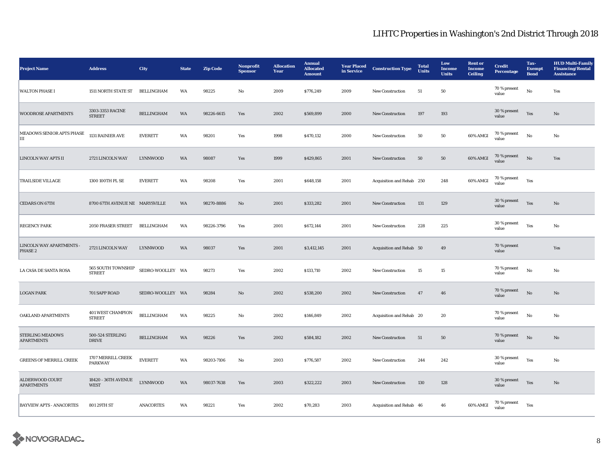| <b>Project Name</b>                          | <b>Address</b>                       | City              | <b>State</b> | <b>Zip Code</b> | Nonprofit<br><b>Sponsor</b> | <b>Allocation</b><br>Year | <b>Annual</b><br><b>Allocated</b><br><b>Amount</b> | <b>Year Placed</b><br>in Service | <b>Construction Type</b>  | <b>Total</b><br><b>Units</b> | Low<br>Income<br><b>Units</b> | <b>Rent</b> or<br><b>Income</b><br><b>Ceiling</b> | <b>Credit</b><br><b>Percentage</b> | Tax-<br><b>Exempt</b><br><b>Bond</b> | <b>HUD Multi-Family</b><br><b>Financing/Rental</b><br><b>Assistance</b> |
|----------------------------------------------|--------------------------------------|-------------------|--------------|-----------------|-----------------------------|---------------------------|----------------------------------------------------|----------------------------------|---------------------------|------------------------------|-------------------------------|---------------------------------------------------|------------------------------------|--------------------------------------|-------------------------------------------------------------------------|
| <b>WALTON PHASE I</b>                        | 1511 NORTH STATE ST                  | <b>BELLINGHAM</b> | WA           | 98225           | No                          | 2009                      | \$776,249                                          | 2009                             | New Construction          | 51                           | 50                            |                                                   | 70 % present<br>value              | $\mathbf{No}$                        | Yes                                                                     |
| <b>WOODROSE APARTMENTS</b>                   | 3303-3353 RACINE<br><b>STREET</b>    | <b>BELLINGHAM</b> | WA           | 98226-6615      | Yes                         | 2002                      | \$569,899                                          | 2000                             | <b>New Construction</b>   | 197                          | 193                           |                                                   | 30 % present<br>value              | Yes                                  | No                                                                      |
| MEADOWS SENIOR APTS PHASE<br>Ш               | 1131 RAINIER AVE                     | <b>EVERETT</b>    | WA           | 98201           | Yes                         | 1998                      | \$470,132                                          | 2000                             | <b>New Construction</b>   | ${\bf 50}$                   | ${\bf 50}$                    | 60% AMGI                                          | $70\,\%$ present<br>value          | $\rm No$                             | No                                                                      |
| <b>LINCOLN WAY APTS II</b>                   | 2721 LINCOLN WAY                     | <b>LYNNWOOD</b>   | <b>WA</b>    | 98087           | Yes                         | 1999                      | \$429,865                                          | 2001                             | <b>New Construction</b>   | 50                           | ${\bf 50}$                    | 60% AMGI                                          | 70 % present<br>value              | No                                   | Yes                                                                     |
| <b>TRAILSIDE VILLAGE</b>                     | 1300 100TH PL SE                     | <b>EVERETT</b>    | WA           | 98208           | Yes                         | 2001                      | \$648,158                                          | 2001                             | Acquisition and Rehab 250 |                              | 248                           | 60% AMGI                                          | 70 % present<br>value              | Yes                                  |                                                                         |
| <b>CEDARS ON 67TH</b>                        | 8700 67TH AVENUE NE MARYSVILLE       |                   | WA           | 98270-8886      | $\mathbf{No}$               | 2001                      | \$333,282                                          | 2001                             | New Construction          | 131                          | 129                           |                                                   | $30\,\%$ present<br>value          | Yes                                  | $\mathbf{N}\mathbf{o}$                                                  |
| <b>REGENCY PARK</b>                          | 2050 FRASER STREET BELLINGHAM        |                   | WA           | 98226-3796      | Yes                         | 2001                      | \$672,144                                          | 2001                             | New Construction          | 228                          | 225                           |                                                   | 30 % present<br>value              | Yes                                  | $\rm No$                                                                |
| LINCOLN WAY APARTMENTS -<br>PHASE 2          | 2721 LINCOLN WAY                     | <b>LYNNWOOD</b>   | WA           | 98037           | Yes                         | 2001                      | \$3,412,145                                        | 2001                             | Acquisition and Rehab 50  |                              | 49                            |                                                   | 70 % present<br>value              |                                      | Yes                                                                     |
| LA CASA DE SANTA ROSA                        | 565 SOUTH TOWNSHIP<br><b>STREET</b>  | SEDRO-WOOLLEY WA  |              | 98273           | Yes                         | 2002                      | \$133,710                                          | 2002                             | New Construction          | 15                           | $15\,$                        |                                                   | 70 % present<br>value              | $\rm No$                             | No                                                                      |
| <b>LOGAN PARK</b>                            | 701 SAPP ROAD                        | SEDRO-WOOLLEY WA  |              | 98284           | $\mathbf{No}$               | 2002                      | \$538,200                                          | 2002                             | <b>New Construction</b>   | 47                           | 46                            |                                                   | 70 % present<br>value              | $\mathbf{N}\mathbf{o}$               | No                                                                      |
| OAKLAND APARTMENTS                           | 401 WEST CHAMPION<br><b>STREET</b>   | <b>BELLINGHAM</b> | WA           | 98225           | No                          | 2002                      | \$146,849                                          | 2002                             | Acquisition and Rehab 20  |                              | 20                            |                                                   | 70 % present<br>value              | $\rm\, No$                           | No                                                                      |
| <b>STERLING MEADOWS</b><br><b>APARTMENTS</b> | 500-524 STERLING<br><b>DRIVE</b>     | <b>BELLINGHAM</b> | WA           | 98226           | Yes                         | 2002                      | \$584,182                                          | 2002                             | <b>New Construction</b>   | 51                           | 50                            |                                                   | 70 % present<br>value              | No                                   | No                                                                      |
| <b>GREENS OF MERRILL CREEK</b>               | 1707 MERRILL CREEK<br><b>PARKWAY</b> | <b>EVERETT</b>    | WA           | 98203-7106      | No                          | 2003                      | \$776,587                                          | 2002                             | <b>New Construction</b>   | 244                          | 242                           |                                                   | 30 % present<br>value              | Yes                                  | No                                                                      |
| <b>ALDERWOOD COURT</b><br><b>APARTMENTS</b>  | 18420 - 36TH AVENUE<br>WEST          | <b>LYNNWOOD</b>   | WA           | 98037-7638      | Yes                         | 2003                      | \$322,222                                          | 2003                             | New Construction          | 130                          | 128                           |                                                   | 30 % present<br>value              | Yes                                  | No                                                                      |
| <b>BAYVIEW APTS - ANACORTES</b>              | 801 29TH ST                          | <b>ANACORTES</b>  | WA           | 98221           | Yes                         | 2002                      | \$70,283                                           | 2003                             | Acquisition and Rehab 46  |                              | ${\bf 46}$                    | 60% AMGI                                          | 70 % present<br>value              | Yes                                  |                                                                         |

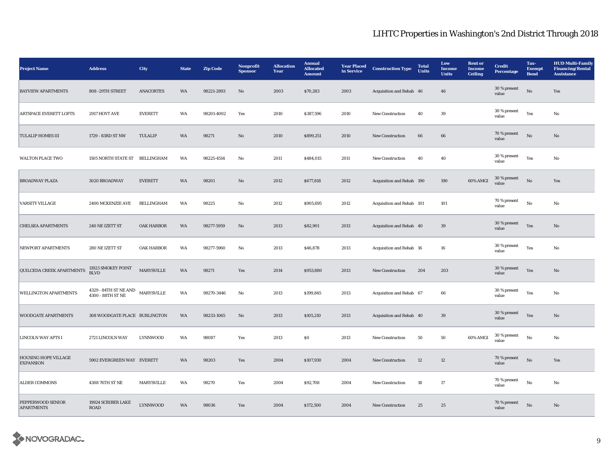| <b>Project Name</b>                             | <b>Address</b>                                                                                                                   | City              | <b>State</b> | <b>Zip Code</b> | Nonprofit<br><b>Sponsor</b> | <b>Allocation</b><br>Year | <b>Annual</b><br><b>Allocated</b><br><b>Amount</b> | <b>Year Placed</b><br>in Service | <b>Construction Type</b>  | <b>Total</b><br><b>Units</b> | Low<br>Income<br><b>Units</b> | <b>Rent or</b><br>Income<br><b>Ceiling</b> | <b>Credit</b><br><b>Percentage</b> | Tax-<br><b>Exempt</b><br><b>Bond</b> | <b>HUD Multi-Family</b><br><b>Financing/Rental</b><br><b>Assistance</b> |
|-------------------------------------------------|----------------------------------------------------------------------------------------------------------------------------------|-------------------|--------------|-----------------|-----------------------------|---------------------------|----------------------------------------------------|----------------------------------|---------------------------|------------------------------|-------------------------------|--------------------------------------------|------------------------------------|--------------------------------------|-------------------------------------------------------------------------|
| <b>BAYVIEW APARTMENTS</b>                       | 808 -29TH STREET                                                                                                                 | <b>ANACORTES</b>  | WA           | 98221-2893      | No                          | 2003                      | \$70,283                                           | 2003                             | Acquisition and Rehab 46  |                              | 46                            |                                            | 30 % present<br>value              | $\rm \bf No$                         | Yes                                                                     |
| <b>ARTSPACE EVERETT LOFTS</b>                   | 2917 HOYT AVE                                                                                                                    | <b>EVERETT</b>    | WA           | 98201-4002      | Yes                         | 2010                      | \$387,596                                          | 2010                             | <b>New Construction</b>   | 40                           | 39                            |                                            | 30 % present<br>value              | Yes                                  | No                                                                      |
| <b>TULALIP HOMES III</b>                        | 1729 - 83RD ST NW                                                                                                                | <b>TULALIP</b>    | WA           | 98271           | No                          | 2010                      | \$899,251                                          | 2010                             | <b>New Construction</b>   | 66                           | 66                            |                                            | 70 % present<br>value              | No                                   | No                                                                      |
| <b>WALTON PLACE TWO</b>                         | 1505 NORTH STATE ST BELLINGHAM                                                                                                   |                   | WA           | 98225-4514      | $\rm No$                    | 2011                      | \$484,015                                          | 2011                             | New Construction          | 40                           | 40                            |                                            | 30 % present<br>value              | Yes                                  | No                                                                      |
| <b>BROADWAY PLAZA</b>                           | 3020 BROADWAY                                                                                                                    | <b>EVERETT</b>    | WA           | 98201           | $\mathbf{N}\mathbf{o}$      | 2012                      | \$677,818                                          | 2012                             | Acquisition and Rehab 190 |                              | 190                           | 60% AMGI                                   | 30 % present<br>value              | $\rm \bf No$                         | Yes                                                                     |
| <b>VARSITY VILLAGE</b>                          | 2400 MCKENZIE AVE                                                                                                                | <b>BELLINGHAM</b> | WA           | 98225           | No                          | 2012                      | \$905,695                                          | 2012                             | Acquisition and Rehab 101 |                              | 101                           |                                            | $70$ % present<br>value            | No                                   | No                                                                      |
| <b>CHELSEA APARTMENTS</b>                       | 240 NE IZETT ST                                                                                                                  | <b>OAK HARBOR</b> | WA           | 98277-5959      | No                          | 2013                      | \$82,901                                           | 2013                             | Acquisition and Rehab 40  |                              | 39                            |                                            | 30 % present<br>value              | Yes                                  | $\mathbf{N}\mathbf{o}$                                                  |
| NEWPORT APARTMENTS                              | 280 NE IZETT ST                                                                                                                  | <b>OAK HARBOR</b> | WA           | 98277-5960      | No                          | 2013                      | \$46,878                                           | 2013                             | Acquisition and Rehab 16  |                              | 16                            |                                            | 30 % present<br>value              | Yes                                  | No                                                                      |
| <b>QUILCEDA CREEK APARTMENTS</b>                | 11923 SMOKEY POINT<br><b>BLVD</b>                                                                                                | <b>MARYSVILLE</b> | WA           | 98271           | Yes                         | 2014                      | \$953,880                                          | 2013                             | <b>New Construction</b>   | 204                          | 203                           |                                            | 30 % present<br>value              | Yes                                  | No                                                                      |
| <b>WELLINGTON APARTMENTS</b>                    | $4329$ - $84 \mathrm{TH}\ \mathrm{ST}\ \mathrm{NE}\ \mathrm{AND}$ MARYSVILLE $4300$ - $88 \mathrm{TH}\ \mathrm{ST}\ \mathrm{NE}$ |                   | WA           | 98270-3446      | No                          | 2013                      | \$199,845                                          | 2013                             | Acquisition and Rehab 67  |                              | 66                            |                                            | 30 % present<br>value              | Yes                                  | No                                                                      |
| <b>WOODGATE APARTMENTS</b>                      | 308 WOODGATE PLACE BURLINGTON                                                                                                    |                   | WA           | 98233-1065      | $\rm No$                    | 2013                      | \$105,210                                          | 2013                             | Acquisition and Rehab 40  |                              | $39\,$                        |                                            | 30 % present<br>value              | Yes                                  | No                                                                      |
| <b>LINCOLN WAY APTS I</b>                       | 2721 LINCOLN WAY                                                                                                                 | <b>LYNNWOOD</b>   | WA           | 98087           | Yes                         | 2013                      | $\$0$                                              | 2013                             | <b>New Construction</b>   | 50                           | 50                            | 60% AMGI                                   | 30 % present<br>value              | No                                   | No                                                                      |
| <b>HOUSING HOPE VILLAGE</b><br><b>EXPANSION</b> | 5902 EVERGREEN WAY EVERETT                                                                                                       |                   | WA           | 98203           | Yes                         | 2004                      | \$107,930                                          | 2004                             | <b>New Construction</b>   | 12                           | 12                            |                                            | 70 % present<br>value              | No                                   | Yes                                                                     |
| <b>ALDER COMMONS</b>                            | 4308 76TH ST NE                                                                                                                  | <b>MARYSVILLE</b> | WA           | 98270           | Yes                         | 2004                      | \$92,708                                           | 2004                             | <b>New Construction</b>   | 18                           | 17                            |                                            | 70 % present<br>value              | No                                   | No                                                                      |
| PEPPERWOOD SENIOR<br><b>APARTMENTS</b>          | 19924 SCRIBER LAKE<br><b>ROAD</b>                                                                                                | <b>LYNNWOOD</b>   | WA           | 98036           | Yes                         | 2004                      | \$172,500                                          | 2004                             | <b>New Construction</b>   | 25                           | 25                            |                                            | 70 % present<br>value              | No                                   | No                                                                      |

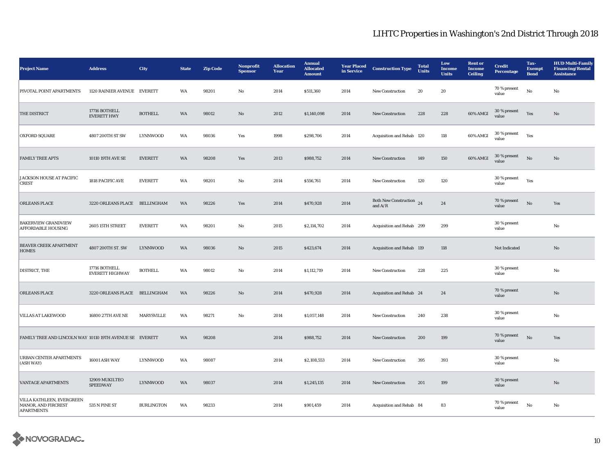| <b>Project Name</b>                                                   | <b>Address</b>                          | City              | <b>State</b> | <b>Zip Code</b> | Nonprofit<br><b>Sponsor</b> | <b>Allocation</b><br>Year | <b>Annual</b><br><b>Allocated</b><br><b>Amount</b> | <b>Year Placed</b><br>in Service | <b>Construction Type</b>              | <b>Total</b><br><b>Units</b> | Low<br><b>Income</b><br><b>Units</b> | <b>Rent</b> or<br><b>Income</b><br>Ceiling | <b>Credit</b><br><b>Percentage</b> | Tax-<br><b>Exempt</b><br><b>Bond</b> | <b>HUD Multi-Family</b><br><b>Financing/Rental</b><br><b>Assistance</b> |
|-----------------------------------------------------------------------|-----------------------------------------|-------------------|--------------|-----------------|-----------------------------|---------------------------|----------------------------------------------------|----------------------------------|---------------------------------------|------------------------------|--------------------------------------|--------------------------------------------|------------------------------------|--------------------------------------|-------------------------------------------------------------------------|
| PIVOTAL POINT APARTMENTS                                              | 1120 RAINIER AVENUE EVERETT             |                   | WA           | 98201           | $\mathbf{No}$               | 2014                      | \$511,360                                          | 2014                             | New Construction                      | 20                           | 20                                   |                                            | 70 % present<br>value              | $\mathbf{No}$                        | $\mathbf{No}$                                                           |
| THE DISTRICT                                                          | 17716 BOTHELL<br><b>EVERETT HWY</b>     | <b>BOTHELL</b>    | WA           | 98012           | No                          | 2012                      | \$1,140,098                                        | 2014                             | <b>New Construction</b>               | 228                          | 228                                  | 60% AMGI                                   | 30 % present<br>value              | Yes                                  | No                                                                      |
| <b>OXFORD SQUARE</b>                                                  | 4807 200TH ST SW                        | <b>LYNNWOOD</b>   | WA           | 98036           | Yes                         | 1998                      | \$298,706                                          | 2014                             | Acquisition and Rehab 120             |                              | 118                                  | 60% AMGI                                   | 30 % present<br>value              | Yes                                  |                                                                         |
| <b>FAMILY TREE APTS</b>                                               | 10110 19TH AVE SE                       | <b>EVERETT</b>    | WA           | 98208           | Yes                         | 2013                      | \$988,752                                          | 2014                             | New Construction                      | 149                          | 150                                  | 60% AMGI                                   | 30 % present<br>value              | No                                   | No                                                                      |
| JACKSON HOUSE AT PACIFIC<br><b>CREST</b>                              | 1818 PACIFIC AVE                        | <b>EVERETT</b>    | WA           | 98201           | No                          | 2014                      | \$556,761                                          | 2014                             | <b>New Construction</b>               | 120                          | 120                                  |                                            | 30 % present<br>value              | Yes                                  |                                                                         |
| <b>ORLEANS PLACE</b>                                                  | 3220 ORLEANS PLACE BELLINGHAM           |                   | WA           | 98226           | Yes                         | 2014                      | \$470,928                                          | 2014                             | Both New Construction 24<br>and $A/R$ |                              | 24                                   |                                            | 70 % present<br>value              | No                                   | Yes                                                                     |
| <b>BAKERVIEW GRANDVIEW</b><br><b>AFFORDABLE HOUSING</b>               | 2605 15TH STREET                        | <b>EVERETT</b>    | WA           | 98201           | No                          | 2015                      | \$2,114,702                                        | 2014                             | Acquisition and Rehab 299             |                              | 299                                  |                                            | 30 % present<br>value              |                                      | No                                                                      |
| <b>BEAVER CREEK APARTMENT</b><br><b>HOMES</b>                         | 4807 200TH ST. SW                       | <b>LYNNWOOD</b>   | WA           | 98036           | No                          | 2015                      | \$423,674                                          | 2014                             | Acquisition and Rehab 119             |                              | 118                                  |                                            | Not Indicated                      |                                      | No                                                                      |
| DISTRICT, THE                                                         | 17716 BOTHELL<br><b>EVERETT HIGHWAY</b> | <b>BOTHELL</b>    | WA           | 98012           | No                          | 2014                      | \$1,112,719                                        | 2014                             | <b>New Construction</b>               | 228                          | 225                                  |                                            | 30 % present<br>value              |                                      | No                                                                      |
| <b>ORLEANS PLACE</b>                                                  | 3220 ORLEANS PLACE BELLINGHAM           |                   | WA           | 98226           | No                          | 2014                      | \$470,928                                          | 2014                             | Acquisition and Rehab 24              |                              | 24                                   |                                            | 70 % present<br>value              |                                      | $\mathbf{No}$                                                           |
| <b>VILLAS AT LAKEWOOD</b>                                             | 16800 27TH AVE NE                       | MARYSVILLE        | WA           | 98271           | No                          | 2014                      | \$1,057,148                                        | 2014                             | <b>New Construction</b>               | 240                          | 238                                  |                                            | 30 % present<br>value              |                                      | No                                                                      |
| FAMILY TREE AND LINCOLN WAY 10110 19TH AVENUE SE EVERETT              |                                         |                   | WA           | 98208           |                             | 2014                      | \$988,752                                          | 2014                             | New Construction                      | 200                          | 199                                  |                                            | 70 % present<br>value              | $_{\rm No}$                          | Yes                                                                     |
| <b>URBAN CENTER APARTMENTS</b><br>(ASH WAY)                           | <b>16001 ASH WAY</b>                    | <b>LYNNWOOD</b>   | WA           | 98087           |                             | 2014                      | \$2,108,553                                        | 2014                             | <b>New Construction</b>               | 395                          | 393                                  |                                            | 30 % present<br>value              |                                      | $\rm No$                                                                |
| <b>VANTAGE APARTMENTS</b>                                             | 12909 MUKILTEO<br><b>SPEEDWAY</b>       | LYNNWOOD          | WA           | 98037           |                             | 2014                      | \$1,245,135                                        | 2014                             | New Construction                      | 201                          | 199                                  |                                            | 30 % present<br>value              |                                      | $\mathbf{N}\mathbf{o}$                                                  |
| VILLA KATHLEEN, EVERGREEN<br>MANOR, AND FIRCREST<br><b>APARTMENTS</b> | 535 N PINE ST                           | <b>BURLINGTON</b> | WA           | 98233           |                             | 2014                      | \$901,459                                          | 2014                             | Acquisition and Rehab 84              |                              | 83                                   |                                            | 70 % present<br>value              | $_{\rm No}$                          | No                                                                      |

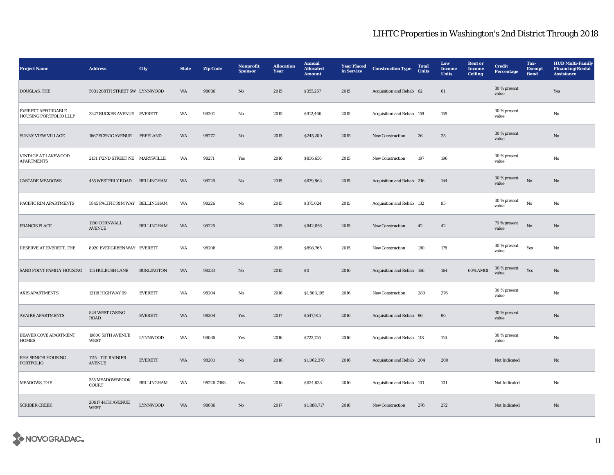| <b>Project Name</b>                                        | <b>Address</b>                          | City              | <b>State</b> | <b>Zip Code</b> | Nonprofit<br><b>Sponsor</b> | <b>Allocation</b><br>Year | <b>Annual</b><br><b>Allocated</b><br><b>Amount</b> | <b>Year Placed</b><br>in Service | <b>Construction Type</b>  | <b>Total</b><br>Units | Low<br><b>Income</b><br><b>Units</b> | <b>Rent</b> or<br><b>Income</b><br><b>Ceiling</b> | <b>Credit</b><br><b>Percentage</b> | Tax-<br><b>Exempt</b><br><b>Bond</b> | <b>HUD Multi-Family</b><br><b>Financing/Rental</b><br><b>Assistance</b> |
|------------------------------------------------------------|-----------------------------------------|-------------------|--------------|-----------------|-----------------------------|---------------------------|----------------------------------------------------|----------------------------------|---------------------------|-----------------------|--------------------------------------|---------------------------------------------------|------------------------------------|--------------------------------------|-------------------------------------------------------------------------|
| DOUGLAS, THE                                               | 5031 208TH STREET SW LYNNWOOD           |                   | WA           | 98036           | No                          | 2015                      | \$355,257                                          | 2015                             | Acquisition and Rehab 62  |                       | $61\,$                               |                                                   | 30 % present<br>value              |                                      | Yes                                                                     |
| <b>EVERETT AFFORDABLE</b><br><b>HOUSING PORTFOLIO LLLP</b> | 3327 RUCKER AVENUE EVERETT              |                   | WA           | 98201           | No                          | 2015                      | \$912,466                                          | 2015                             | Acquisition and Rehab 159 |                       | 159                                  |                                                   | 30 % present<br>value              |                                      | No                                                                      |
| <b>SUNNY VIEW VILLAGE</b>                                  | 1667 SCENIC AVENUE                      | <b>FREELAND</b>   | WA           | 98277           | $\mathbf{N}\mathbf{o}$      | 2015                      | \$245,200                                          | 2015                             | New Construction          | 26                    | $25\,$                               |                                                   | 30 % present<br>value              |                                      | $\mathbf{N}\mathbf{o}$                                                  |
| <b>VINTAGE AT LAKEWOOD</b><br><b>APARTMENTS</b>            | 2131 172ND STREET NE MARYSVILLE         |                   | WA           | 98271           | Yes                         | 2016                      | \$836,656                                          | 2015                             | New Construction          | 197                   | 196                                  |                                                   | $30\,\%$ present<br>value          |                                      | No                                                                      |
| <b>CASCADE MEADOWS</b>                                     | <b>455 WESTERLY ROAD</b>                | <b>BELLINGHAM</b> | WA           | 98226           | $\mathbf{N}\mathbf{o}$      | 2015                      | \$639,863                                          | 2015                             | Acquisition and Rehab 216 |                       | 144                                  |                                                   | 30 % present<br>value              | $_{\rm No}$                          | $\mathbf{N}\mathbf{o}$                                                  |
| PACIFIC RIM APARTMENTS                                     | 5845 PACIFIC RIM WAY BELLINGHAM         |                   | WA           | 98226           | No                          | 2015                      | \$375,024                                          | 2015                             | Acquisition and Rehab 132 |                       | 95                                   |                                                   | 30 % present<br>value              | $\rm No$                             | No                                                                      |
| <b>FRANCIS PLACE</b>                                       | 1100 CORNWALL<br><b>AVENUE</b>          | <b>BELLINGHAM</b> | WA           | 98225           |                             | 2015                      | \$842,856                                          | 2015                             | New Construction          | 42                    | 42                                   |                                                   | 70 % present<br>value              | $\mathbf{N}\mathbf{o}$               | $\mathbf{N}\mathbf{o}$                                                  |
| RESERVE AT EVERETT, THE                                    | 8920 EVERGREEN WAY EVERETT              |                   | WA           | 98208           |                             | 2015                      | \$898,765                                          | 2015                             | New Construction          | 180                   | 178                                  |                                                   | $30\,\%$ present<br>value          | Yes                                  | No                                                                      |
| SAND POINT FAMILY HOUSING                                  | 115 HULBUSH LANE                        | <b>BURLINGTON</b> | WA           | 98233           | $\rm No$                    | 2015                      | $\boldsymbol{\mathsf{S}}\boldsymbol{\mathsf{O}}$   | 2016                             | Acquisition and Rehab 166 |                       | 164                                  | 60% AMGI                                          | 30 % present<br>value              | Yes                                  | $\mathbf{N}\mathbf{o}$                                                  |
| <b>AXIS APARTMENTS</b>                                     | 12118 HIGHWAY 99                        | <b>EVERETT</b>    | WA           | 98204           | No                          | 2016                      | \$1,803,195                                        | 2016                             | New Construction          | 280                   | 276                                  |                                                   | 30 % present<br>value              |                                      | No                                                                      |
| <b>AVAIRE APARTMENTS</b>                                   | 824 WEST CASINO<br><b>ROAD</b>          | <b>EVERETT</b>    | WA           | 98204           | Yes                         | 2017                      | \$547,915                                          | 2016                             | Acquisition and Rehab 96  |                       | 96                                   |                                                   | 30 % present<br>value              |                                      | No                                                                      |
| <b>BEAVER COVE APARTMENT</b><br><b>HOMES</b>               | 19800 50TH AVENUE<br>WEST               | LYNNWOOD          | WA           | 98036           | Yes                         | 2016                      | \$723,755                                          | 2016                             | Acquisition and Rehab 118 |                       | 116                                  |                                                   | 30 % present<br>value              |                                      | No                                                                      |
| <b>EHA SENIOR HOUSING</b><br><b>PORTFOLIO</b>              | 1115 - 1131 RAINIER<br><b>AVENUE</b>    | <b>EVERETT</b>    | WA           | 98201           | $\mathbf{N}\mathbf{o}$      | 2016                      | \$1,062,370                                        | 2016                             | Acquisition and Rehab 204 |                       | 200                                  |                                                   | Not Indicated                      |                                      | No                                                                      |
| MEADOWS, THE                                               | 355 MEADOWBROOK<br><b>COURT</b>         | <b>BELLINGHAM</b> | WA           | 98226-7368      | Yes                         | 2016                      | \$624,638                                          | 2016                             | Acquisition and Rehab 101 |                       | 101                                  |                                                   | Not Indicated                      |                                      | No                                                                      |
| <b>SCRIBER CREEK</b>                                       | <b>20917 44TH AVENUE</b><br><b>WEST</b> | <b>LYNNWOOD</b>   | WA           | 98036           | No                          | 2017                      | \$1,888,717                                        | 2016                             | <b>New Construction</b>   | 276                   | 272                                  |                                                   | Not Indicated                      |                                      | $\mathbf{N}\mathbf{o}$                                                  |

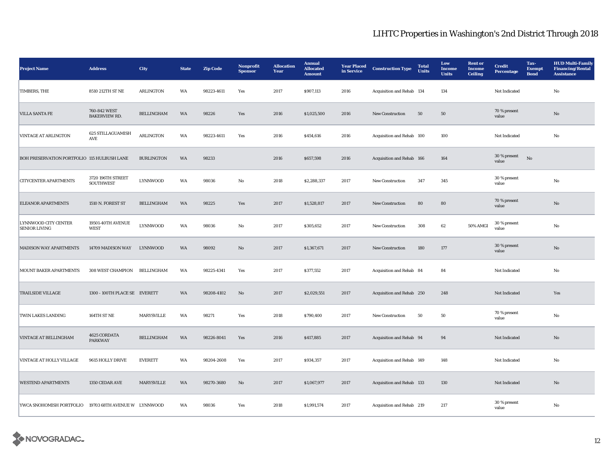| <b>Project Name</b>                          | <b>Address</b>                          | <b>City</b>       | <b>State</b> | <b>Zip Code</b> | Nonprofit<br><b>Sponsor</b> | <b>Allocation</b><br>Year | <b>Annual</b><br><b>Allocated</b><br><b>Amount</b> | <b>Year Placed</b><br>in Service | <b>Construction Type</b>  | <b>Total</b><br><b>Units</b> | Low<br><b>Income</b><br><b>Units</b> | <b>Rent or</b><br>Income<br><b>Ceiling</b> | <b>Credit</b><br><b>Percentage</b> | Tax-<br><b>Exempt</b><br><b>Bond</b> | <b>HUD Multi-Family</b><br><b>Financing/Rental</b><br><b>Assistance</b> |
|----------------------------------------------|-----------------------------------------|-------------------|--------------|-----------------|-----------------------------|---------------------------|----------------------------------------------------|----------------------------------|---------------------------|------------------------------|--------------------------------------|--------------------------------------------|------------------------------------|--------------------------------------|-------------------------------------------------------------------------|
| TIMBERS, THE                                 | 8510 212TH ST NE                        | <b>ARLINGTON</b>  | WA           | 98223-4611      | Yes                         | 2017                      | \$907,113                                          | 2016                             | Acquisition and Rehab 134 |                              | 134                                  |                                            | Not Indicated                      |                                      | $\rm No$                                                                |
| <b>VILLA SANTA FE</b>                        | 760-842 WEST<br><b>BAKERVIEW RD.</b>    | BELLINGHAM        | WA           | 98226           | Yes                         | 2016                      | \$1,025,500                                        | 2016                             | <b>New Construction</b>   | 50                           | 50                                   |                                            | 70 % present<br>value              |                                      | No                                                                      |
| <b>VINTAGE AT ARLINGTON</b>                  | 625 STILLAGUAMISH<br>AVE                | <b>ARLINGTON</b>  | WA           | 98223-4611      | Yes                         | 2016                      | \$454,616                                          | 2016                             | Acquisition and Rehab 100 |                              | 100                                  |                                            | Not Indicated                      |                                      | No                                                                      |
| BOH PRESERVATION PORTFOLIO 115 HULBUSH LANE  |                                         | <b>BURLINGTON</b> | WA           | 98233           |                             | 2016                      | \$657,598                                          | 2016                             | Acquisition and Rehab 166 |                              | 164                                  |                                            | 30 % present<br>value              | $\rm \bf No$                         |                                                                         |
| <b>CITYCENTER APARTMENTS</b>                 | 3720 196TH STREET<br>SOUTHWEST          | <b>LYNNWOOD</b>   | WA           | 98036           | No                          | 2018                      | \$2,288,337                                        | 2017                             | New Construction          | 347                          | 345                                  |                                            | 30 % present<br>value              |                                      | No                                                                      |
| <b>ELEANOR APARTMENTS</b>                    | 1510 N. FOREST ST                       | <b>BELLINGHAM</b> | WA           | 98225           | Yes                         | 2017                      | \$1,528,817                                        | 2017                             | <b>New Construction</b>   | 80                           | 80                                   |                                            | 70 % present<br>value              |                                      | No                                                                      |
| LYNNWOOD CITY CENTER<br><b>SENIOR LIVING</b> | <b>19501-40TH AVENUE</b><br><b>WEST</b> | <b>LYNNWOOD</b>   | WA           | 98036           | No                          | 2017                      | \$305,652                                          | 2017                             | <b>New Construction</b>   | 308                          | 62                                   | 50% AMGI                                   | 30 % present<br>value              |                                      | No                                                                      |
| <b>MADISON WAY APARTMENTS</b>                | 14709 MADISON WAY                       | <b>LYNNWOOD</b>   | WA           | 98092           | No                          | 2017                      | \$1,367,671                                        | 2017                             | <b>New Construction</b>   | 180                          | 177                                  |                                            | 30 % present<br>value              |                                      | No                                                                      |
| MOUNT BAKER APARTMENTS                       | 308 WEST CHAMPION                       | BELLINGHAM        | WA           | 98225-4341      | Yes                         | 2017                      | \$377,552                                          | 2017                             | Acquisition and Rehab 84  |                              | 84                                   |                                            | Not Indicated                      |                                      | No                                                                      |
| <b>TRAILSIDE VILLAGE</b>                     | 1300 - 100TH PLACE SE EVERETT           |                   | WA           | 98208-4102      | No                          | 2017                      | \$2,029,551                                        | 2017                             | Acquisition and Rehab 250 |                              | 248                                  |                                            | Not Indicated                      |                                      | Yes                                                                     |
| TWIN LAKES LANDING                           | 164TH ST NE                             | MARYSVILLE        | WA           | 98271           | Yes                         | 2018                      | \$790,400                                          | 2017                             | <b>New Construction</b>   | 50                           | 50                                   |                                            | 70 % present<br>value              |                                      | No                                                                      |
| <b>VINTAGE AT BELLINGHAM</b>                 | 4625 CORDATA<br><b>PARKWAY</b>          | <b>BELLINGHAM</b> | WA           | 98226-8041      | Yes                         | 2016                      | \$417,885                                          | 2017                             | Acquisition and Rehab 94  |                              | 94                                   |                                            | Not Indicated                      |                                      | No                                                                      |
| VINTAGE AT HOLLY VILLAGE                     | 9615 HOLLY DRIVE                        | <b>EVERETT</b>    | WA           | 98204-2608      | Yes                         | 2017                      | \$934,357                                          | 2017                             | Acquisition and Rehab 149 |                              | 148                                  |                                            | Not Indicated                      |                                      | No                                                                      |
| <b>WESTEND APARTMENTS</b>                    | 1350 CEDAR AVE                          | MARYSVILLE        | WA           | 98270-3680      | No                          | 2017                      | \$1,067,977                                        | 2017                             | Acquisition and Rehab 133 |                              | 130                                  |                                            | Not Indicated                      |                                      | $\rm No$                                                                |
| YWCA SNOHOMISH PORTFOLIO                     | 19703 68TH AVENUE W LYNNWOOD            |                   | WA           | 98036           | Yes                         | 2018                      | \$1,991,574                                        | 2017                             | Acquisition and Rehab 219 |                              | 217                                  |                                            | 30 % present<br>value              |                                      | $\rm No$                                                                |